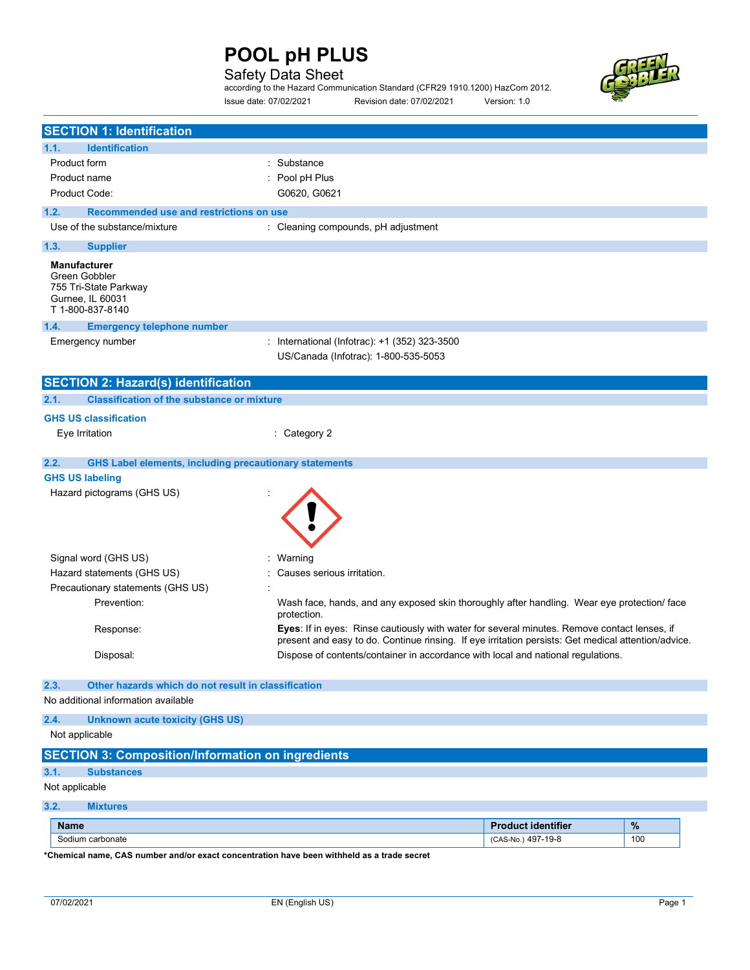### Safety Data Sheet

according to the Hazard Communication Standard (CFR29 1910.1200) HazCom 2012. Issue date: 07/02/2021 Revision date: 07/02/2021 Version: 1.0



| <b>SECTION 1: Identification</b>                                                                      |                                                                                                                                                                                                     |                           |     |
|-------------------------------------------------------------------------------------------------------|-----------------------------------------------------------------------------------------------------------------------------------------------------------------------------------------------------|---------------------------|-----|
| <b>Identification</b><br>1.1.                                                                         |                                                                                                                                                                                                     |                           |     |
| Product form                                                                                          | Substance                                                                                                                                                                                           |                           |     |
| Product name                                                                                          | Pool pH Plus                                                                                                                                                                                        |                           |     |
| Product Code:                                                                                         | G0620, G0621                                                                                                                                                                                        |                           |     |
| 1.2.<br>Recommended use and restrictions on use                                                       |                                                                                                                                                                                                     |                           |     |
| Use of the substance/mixture                                                                          | : Cleaning compounds, pH adjustment                                                                                                                                                                 |                           |     |
| 1.3.<br><b>Supplier</b>                                                                               |                                                                                                                                                                                                     |                           |     |
| <b>Manufacturer</b><br>Green Gobbler<br>755 Tri-State Parkway<br>Gurnee, IL 60031<br>T 1-800-837-8140 |                                                                                                                                                                                                     |                           |     |
| 1.4.<br><b>Emergency telephone number</b>                                                             |                                                                                                                                                                                                     |                           |     |
| Emergency number                                                                                      | : International (Infotrac): +1 (352) 323-3500<br>US/Canada (Infotrac): 1-800-535-5053                                                                                                               |                           |     |
| <b>SECTION 2: Hazard(s) identification</b>                                                            |                                                                                                                                                                                                     |                           |     |
| <b>Classification of the substance or mixture</b><br>2.1.                                             |                                                                                                                                                                                                     |                           |     |
| <b>GHS US classification</b>                                                                          |                                                                                                                                                                                                     |                           |     |
| Eye Irritation                                                                                        | Category 2                                                                                                                                                                                          |                           |     |
|                                                                                                       |                                                                                                                                                                                                     |                           |     |
| 2.2.<br><b>GHS Label elements, including precautionary statements</b><br><b>GHS US labeling</b>       |                                                                                                                                                                                                     |                           |     |
| Hazard pictograms (GHS US)                                                                            |                                                                                                                                                                                                     |                           |     |
| Signal word (GHS US)                                                                                  | Warning                                                                                                                                                                                             |                           |     |
| Hazard statements (GHS US)                                                                            | Causes serious irritation.                                                                                                                                                                          |                           |     |
| Precautionary statements (GHS US)                                                                     |                                                                                                                                                                                                     |                           |     |
| Prevention:                                                                                           | Wash face, hands, and any exposed skin thoroughly after handling. Wear eye protection/ face<br>protection.                                                                                          |                           |     |
| Response:                                                                                             | Eyes: If in eyes: Rinse cautiously with water for several minutes. Remove contact lenses, if<br>present and easy to do. Continue rinsing. If eye irritation persists: Get medical attention/advice. |                           |     |
| Disposal:                                                                                             | Dispose of contents/container in accordance with local and national regulations.                                                                                                                    |                           |     |
| 2.3.<br>Other hazards which do not result in classification                                           |                                                                                                                                                                                                     |                           |     |
| No additional information available                                                                   |                                                                                                                                                                                                     |                           |     |
|                                                                                                       |                                                                                                                                                                                                     |                           |     |
| 2.4.<br><b>Unknown acute toxicity (GHS US)</b><br>Not applicable                                      |                                                                                                                                                                                                     |                           |     |
|                                                                                                       |                                                                                                                                                                                                     |                           |     |
| <b>SECTION 3: Composition/Information on ingredients</b>                                              |                                                                                                                                                                                                     |                           |     |
| 3.1.<br><b>Substances</b>                                                                             |                                                                                                                                                                                                     |                           |     |
| Not applicable                                                                                        |                                                                                                                                                                                                     |                           |     |
| 3.2.<br><b>Mixtures</b>                                                                               |                                                                                                                                                                                                     |                           |     |
| <b>Name</b>                                                                                           |                                                                                                                                                                                                     | <b>Product identifier</b> | %   |
| Sodium carbonate                                                                                      |                                                                                                                                                                                                     | (CAS-No.) 497-19-8        | 100 |

\*Chemical name, CAS number and/or exact concentration have been withheld as a trade secret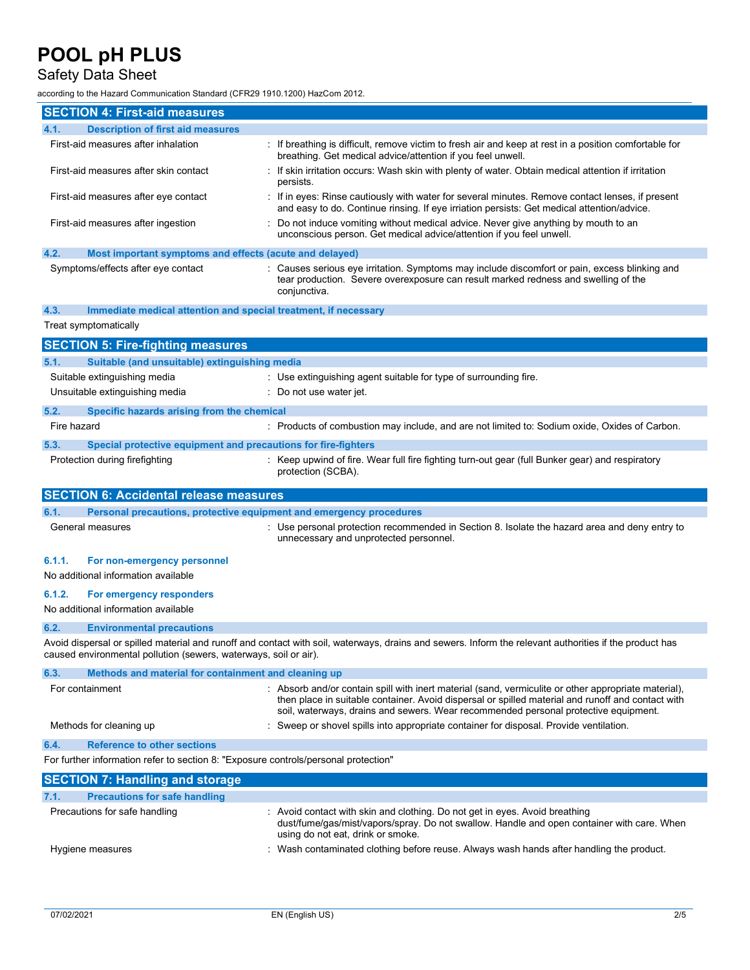### Safety Data Sheet

according to the Hazard Communication Standard (CFR29 1910.1200) HazCom 2012.

| <b>SECTION 4: First-aid measures</b>                                                |                                                                                                                                                                                                                                                                                                  |  |
|-------------------------------------------------------------------------------------|--------------------------------------------------------------------------------------------------------------------------------------------------------------------------------------------------------------------------------------------------------------------------------------------------|--|
| <b>Description of first aid measures</b><br>4.1.                                    |                                                                                                                                                                                                                                                                                                  |  |
| First-aid measures after inhalation                                                 | If breathing is difficult, remove victim to fresh air and keep at rest in a position comfortable for<br>breathing. Get medical advice/attention if you feel unwell.                                                                                                                              |  |
| First-aid measures after skin contact                                               | If skin irritation occurs: Wash skin with plenty of water. Obtain medical attention if irritation<br>persists.                                                                                                                                                                                   |  |
| First-aid measures after eye contact                                                | If in eyes: Rinse cautiously with water for several minutes. Remove contact lenses, if present<br>and easy to do. Continue rinsing. If eye irriation persists: Get medical attention/advice.                                                                                                     |  |
| First-aid measures after ingestion                                                  | Do not induce vomiting without medical advice. Never give anything by mouth to an<br>unconscious person. Get medical advice/attention if you feel unwell.                                                                                                                                        |  |
| 4.2.<br>Most important symptoms and effects (acute and delayed)                     |                                                                                                                                                                                                                                                                                                  |  |
| Symptoms/effects after eye contact                                                  | : Causes serious eye irritation. Symptoms may include discomfort or pain, excess blinking and<br>tear production. Severe overexposure can result marked redness and swelling of the<br>conjunctiva.                                                                                              |  |
| Immediate medical attention and special treatment, if necessary<br>4.3.             |                                                                                                                                                                                                                                                                                                  |  |
| Treat symptomatically                                                               |                                                                                                                                                                                                                                                                                                  |  |
| <b>SECTION 5: Fire-fighting measures</b>                                            |                                                                                                                                                                                                                                                                                                  |  |
| Suitable (and unsuitable) extinguishing media<br>5.1.                               |                                                                                                                                                                                                                                                                                                  |  |
| Suitable extinguishing media                                                        | : Use extinguishing agent suitable for type of surrounding fire.                                                                                                                                                                                                                                 |  |
| Unsuitable extinguishing media                                                      | : Do not use water jet.                                                                                                                                                                                                                                                                          |  |
|                                                                                     |                                                                                                                                                                                                                                                                                                  |  |
| 5.2.<br>Specific hazards arising from the chemical<br>Fire hazard                   | : Products of combustion may include, and are not limited to: Sodium oxide, Oxides of Carbon.                                                                                                                                                                                                    |  |
|                                                                                     |                                                                                                                                                                                                                                                                                                  |  |
| 5.3.<br>Special protective equipment and precautions for fire-fighters              |                                                                                                                                                                                                                                                                                                  |  |
| Protection during firefighting                                                      | : Keep upwind of fire. Wear full fire fighting turn-out gear (full Bunker gear) and respiratory<br>protection (SCBA).                                                                                                                                                                            |  |
| <b>SECTION 6: Accidental release measures</b>                                       |                                                                                                                                                                                                                                                                                                  |  |
| 6.1.<br>Personal precautions, protective equipment and emergency procedures         |                                                                                                                                                                                                                                                                                                  |  |
| General measures                                                                    | : Use personal protection recommended in Section 8. Isolate the hazard area and deny entry to<br>unnecessary and unprotected personnel.                                                                                                                                                          |  |
| 6.1.1.<br>For non-emergency personnel<br>No additional information available        |                                                                                                                                                                                                                                                                                                  |  |
| 6.1.2.<br>For emergency responders<br>No additional information available           |                                                                                                                                                                                                                                                                                                  |  |
| 6.2.<br><b>Environmental precautions</b>                                            |                                                                                                                                                                                                                                                                                                  |  |
| caused environmental pollution (sewers, waterways, soil or air).                    | Avoid dispersal or spilled material and runoff and contact with soil, waterways, drains and sewers. Inform the relevant authorities if the product has                                                                                                                                           |  |
| 6.3.<br>Methods and material for containment and cleaning up                        |                                                                                                                                                                                                                                                                                                  |  |
| For containment                                                                     | : Absorb and/or contain spill with inert material (sand, vermiculite or other appropriate material),<br>then place in suitable container. Avoid dispersal or spilled material and runoff and contact with<br>soil, waterways, drains and sewers. Wear recommended personal protective equipment. |  |
| Methods for cleaning up                                                             | : Sweep or shovel spills into appropriate container for disposal. Provide ventilation.                                                                                                                                                                                                           |  |
| <b>Reference to other sections</b><br>6.4.                                          |                                                                                                                                                                                                                                                                                                  |  |
| For further information refer to section 8: "Exposure controls/personal protection" |                                                                                                                                                                                                                                                                                                  |  |
| <b>SECTION 7: Handling and storage</b>                                              |                                                                                                                                                                                                                                                                                                  |  |
| <b>Precautions for safe handling</b><br>7.1.                                        |                                                                                                                                                                                                                                                                                                  |  |
| Precautions for safe handling                                                       | : Avoid contact with skin and clothing. Do not get in eyes. Avoid breathing<br>dust/fume/gas/mist/vapors/spray. Do not swallow. Handle and open container with care. When<br>using do not eat, drink or smoke.                                                                                   |  |
|                                                                                     | : Wash contaminated clothing before reuse. Always wash hands after handling the product.                                                                                                                                                                                                         |  |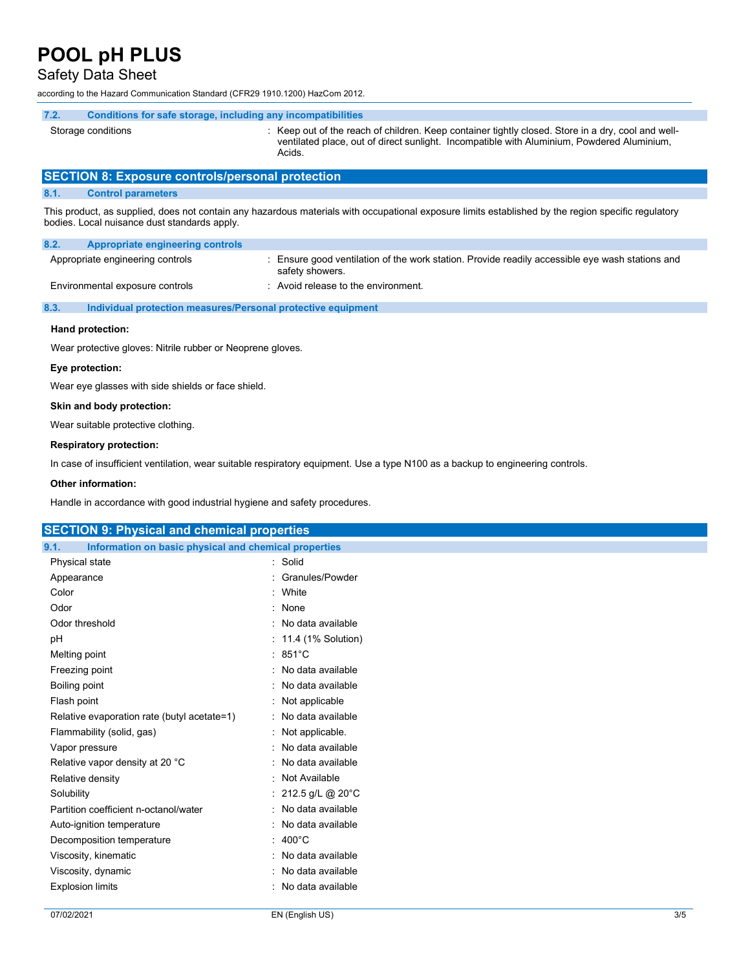#### Safety Data Sheet

according to the Hazard Communication Standard (CFR29 1910.1200) HazCom 2012.

#### 7.2. Conditions for safe storage, including any incompatibilities

Storage conditions **Storage conditions** : Keep out of the reach of children. Keep container tightly closed. Store in a dry, cool and well-

Acids.

SECTION 8: Exposure controls/personal protection

#### 8.1. Control parameters

This product, as supplied, does not contain any hazardous materials with occupational exposure limits established by the region specific regulatory bodies. Local nuisance dust standards apply.

ventilated place, out of direct sunlight. Incompatible with Aluminium, Powdered Aluminium,

| 8.2.<br>Appropriate engineering controls |                                                                                                                  |
|------------------------------------------|------------------------------------------------------------------------------------------------------------------|
| Appropriate engineering controls         | Ensure good ventilation of the work station. Provide readily accessible eye wash stations and<br>safety showers. |
| Environmental exposure controls          | : Avoid release to the environment.                                                                              |

#### 8.3. Individual protection measures/Personal protective equipment

#### Hand protection:

Wear protective gloves: Nitrile rubber or Neoprene gloves.

#### Eye protection:

Wear eye glasses with side shields or face shield.

#### Skin and body protection:

Wear suitable protective clothing.

#### Respiratory protection:

In case of insufficient ventilation, wear suitable respiratory equipment. Use a type N100 as a backup to engineering controls.

#### Other information:

Handle in accordance with good industrial hygiene and safety procedures.

| <b>SECTION 9: Physical and chemical properties</b>            |                      |
|---------------------------------------------------------------|----------------------|
| Information on basic physical and chemical properties<br>9.1. |                      |
| Physical state                                                | : Solid              |
| Appearance                                                    | : Granules/Powder    |
| Color                                                         | : White              |
| Odor                                                          | : None               |
| Odor threshold                                                | : No data available  |
| pH                                                            | : 11.4 (1% Solution) |
| Melting point                                                 | $: 851^{\circ}$ C    |
| Freezing point                                                | : No data available  |
| Boiling point                                                 | No data available    |
| Flash point                                                   | : Not applicable     |
| Relative evaporation rate (butyl acetate=1)                   | : No data available  |
| Flammability (solid, gas)                                     | : Not applicable.    |
| Vapor pressure                                                | : No data available  |
| Relative vapor density at 20 °C                               | : No data available  |
| Relative density                                              | : Not Available      |
| Solubility                                                    | : 212.5 g/L @ 20°C   |
| Partition coefficient n-octanol/water                         | : No data available  |
| Auto-ignition temperature                                     | : No data available  |
| Decomposition temperature                                     | $: 400^{\circ}$ C    |
| Viscosity, kinematic                                          | : No data available  |
| Viscosity, dynamic                                            | : No data available  |
| <b>Explosion limits</b>                                       | : No data available  |
|                                                               |                      |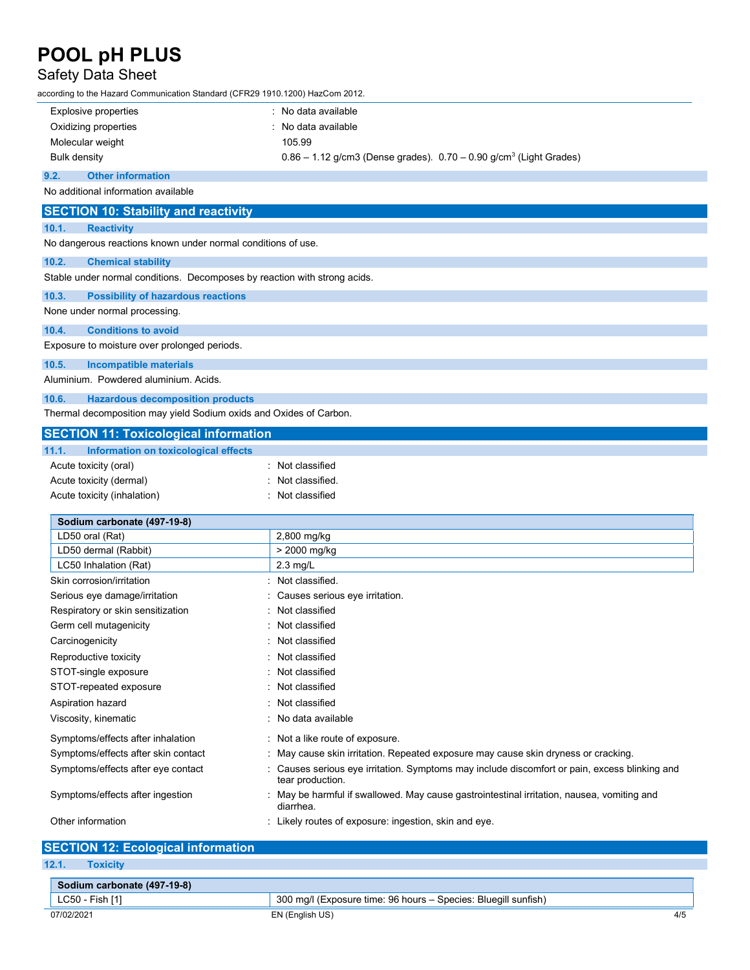### Safety Data Sheet

according to the Hazard Communication Standard (CFR29 1910.1200) HazCom 2012.

Acute toxicity (dermal) **Example 2** Control of the classified.

| Explosive properties | : No data available                                                                |
|----------------------|------------------------------------------------------------------------------------|
| Oxidizing properties | : No data available                                                                |
| Molecular weight     | 105.99                                                                             |
| Bulk density         | $0.86 - 1.12$ g/cm3 (Dense grades). $0.70 - 0.90$ g/cm <sup>3</sup> (Light Grades) |

#### 9.2. Other information

No additional information available

|       | <b>SECTION 10: Stability and reactivity</b>                               |
|-------|---------------------------------------------------------------------------|
| 10.1. | <b>Reactivity</b>                                                         |
|       | No dangerous reactions known under normal conditions of use.              |
| 10.2. | <b>Chemical stability</b>                                                 |
|       | Stable under normal conditions. Decomposes by reaction with strong acids. |
| 10.3. | <b>Possibility of hazardous reactions</b>                                 |
|       | None under normal processing.                                             |
| 10.4. | <b>Conditions to avoid</b>                                                |
|       | Exposure to moisture over prolonged periods.                              |
| 10.5. | <b>Incompatible materials</b>                                             |
|       | Aluminium. Powdered aluminium. Acids.                                     |
| 10.6. | <b>Hazardous decomposition products</b>                                   |
|       | Thermal decomposition may yield Sodium oxids and Oxides of Carbon.        |
|       | <b>SECTION 11: Toxicological information</b>                              |
| 11.1. | Information on toxicological effects                                      |
|       | : Not classified<br>Acute toxicity (oral)                                 |

| Acute toxicity (inhalation)         | : Not classified                                                                                                  |
|-------------------------------------|-------------------------------------------------------------------------------------------------------------------|
| Sodium carbonate (497-19-8)         |                                                                                                                   |
| LD50 oral (Rat)                     | 2,800 mg/kg                                                                                                       |
| LD50 dermal (Rabbit)                | > 2000 mg/kg                                                                                                      |
| LC50 Inhalation (Rat)               | $2.3$ mg/L                                                                                                        |
| Skin corrosion/irritation           | Not classified.                                                                                                   |
| Serious eye damage/irritation       | : Causes serious eye irritation.                                                                                  |
| Respiratory or skin sensitization   | : Not classified                                                                                                  |
| Germ cell mutagenicity              | : Not classified                                                                                                  |
| Carcinogenicity                     | : Not classified                                                                                                  |
| Reproductive toxicity               | : Not classified                                                                                                  |
| STOT-single exposure                | : Not classified                                                                                                  |
| STOT-repeated exposure              | : Not classified                                                                                                  |
| Aspiration hazard                   | : Not classified                                                                                                  |
| Viscosity, kinematic                | : No data available                                                                                               |
| Symptoms/effects after inhalation   | : Not a like route of exposure.                                                                                   |
| Symptoms/effects after skin contact | : May cause skin irritation. Repeated exposure may cause skin dryness or cracking.                                |
| Symptoms/effects after eye contact  | : Causes serious eye irritation. Symptoms may include discomfort or pain, excess blinking and<br>tear production. |
| Symptoms/effects after ingestion    | : May be harmful if swallowed. May cause gastrointestinal irritation, nausea, vomiting and<br>diarrhea.           |
| Other information                   | : Likely routes of exposure: ingestion, skin and eye.                                                             |

#### SECTION 12: Ecological information 12.1. Toxicity

| --------                    |                                                                |     |
|-----------------------------|----------------------------------------------------------------|-----|
| Sodium carbonate (497-19-8) |                                                                |     |
| LC50 - Fish [1]             | 300 mg/l (Exposure time: 96 hours – Species: Bluegill sunfish) |     |
| 07/02/2021                  | EN (English US)                                                | 4/5 |